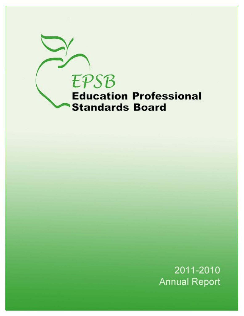

2011-2010 **Annual Report**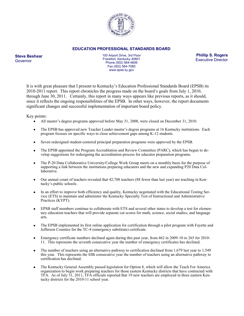

#### **EDUCATION PROFESSIONAL STANDARDS BOARD**

**Steve Beshear** Governor

100 Airport Drive, 3rd Floor Frankfort, Kentucky 40601 Phone (502) 564-4606 Fax (502) 564-7080 www.epsb.ky.gov

**Phillip S. Rogers** Executive Director

It is with great pleasure that I present to Kentucky's Education Professional Standards Board (EPSB) its 2010-2011 report. This report chronicles the progress made on the board's goals from July 1, 2010, through June 30, 2011. Certainly, this report in many ways appears like previous reports, as it should, since it reflects the ongoing responsibilities of the EPSB. In other ways, however, the report documents significant changes and successful implementation of important board policy.

Key points:

- $\bullet$ All master's degree programs approved before May 31, 2008, were closed on December 31, 2010.
- The EPSB has approved new Teacher Leader master's degree programs at 16 Kentucky institutions. Each program focuses on specific ways to close achievement gaps among K-12 students.
- Seven redesigned student-centered principal preparation programs were approved by the EPSB.
- $\bullet$ The EPSB appointed the Program Accreditation and Review Committee (PARC), which has begun to develop suggestions for redesigning the accreditation process for educator preparation programs.
- The P-20 Data Collaborative University/College Work Group meets on a monthly basis for the purpose of  $\bullet$ supporting a link between the institutions preparing educators and the new and expanding P20 Data Collaborative.
- Our annual count of teachers revealed that 42,708 teachers (88 fewer than last year) are teaching in Ken- $\bullet$ tucky's public schools.
- In an effort to improve both efficiency and quality, Kentucky negotiated with the Educational Testing Ser- $\bullet$ vice (ETS) to maintain and administer the Kentucky Specialty Test of Instructional and Administrative Practices (KYPT).
- EPSB staff members continue to collaborate with ETS and several other states to develop a test for elemen- $\bullet$ tary education teachers that will provide separate cut scores for math, science, social studies, and language arts.
- $\bullet$ The EPSB implemented its first online application for certification through a pilot program with Fayette and Jefferson Counties for the TC-4 (emergency substitute) certificate.
- Emergency certificate numbers declined again during this past year, from 462 in 2009-10 to 265 for 2010- 11. This represents the seventh consecutive year the number of emergency certificates has declined.
- The number of teachers using an alternative pathway to certification declined from 1,679 last year to 1,549 this year. This represents the fifth consecutive year the number of teachers using an alternative pathway to certification has declined.
- The Kentucky General Assembly passed legislation for Option 8, which will allow the Teach For America organization to begin work preparing teachers for those eastern Kentucky districts that have contracted with TFA. As of July 31, 2011, TFA officials reported that 19 new teachers are employed in three eastern Kentucky districts for the 2010-11 school year.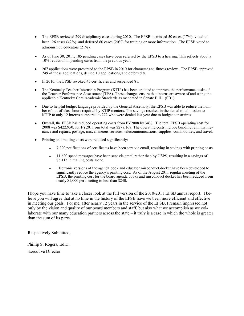- The EPSB reviewed 299 disciplinary cases during 2010. The EPSB dismissed 50 cases (17%), voted to hear 126 cases (42%), and deferred 60 cases (20%) for training or more information. The EPSB voted to admonish 63 educators (21%).
- As of June 30, 2011, 185 pending cases have been referred by the EPSB to a hearing. This reflects about a 10% reduction in pending cases from the previous year.
- 267 applications were presented to the EPSB in 2010 for character and fitness review. The EPSB approved 249 of those applications, denied 10 applications, and deferred 8.
- In 2010, the EPSB revoked 45 certificates and suspended 81.
- The Kentucky Teacher Internship Program (KTIP) has been updated to improve the performance tasks of the Teacher Performance Assessment (TPA). These changes ensure that interns are aware of and using the applicable Kentucky Core Academic Standards as mandated in Senate Bill 1 (SB1).
- Due to helpful budget language provided by the General Assembly, the EPSB was able to reduce the number of out-of-class hours required by KTIP mentors. The savings resulted in the denial of admission to KTIP to only 12 interns compared to 272 who were denied last year due to budget constraints.
- Overall, the EPSB has reduced operating costs from FY2008 by 34%. The total EPSB operating cost for 2008 was \$422,950; for FY2011 our total was \$278,168. The operating costs include building rent, maintenance and repairs, postage, miscellaneous services, telecommunications, supplies, commodities, and travel.
- Printing and mailing costs were reduced significantly:
	- 7,220 notifications of certificates have been sent via email, resulting in savings with printing costs.
	- 11,620 speed messages have been sent via email rather than by USPS, resulting in a savings of \$5,113 in mailing costs alone.
	- Electronic versions of the agenda book and educator misconduct docket have been developed to significantly reduce the agency's printing cost. As of the August 2011 regular meeting of the EPSB, the printing cost for the board agenda books and misconduct docket has been reduced from nearly \$1,000 per meeting to less than \$240.

I hope you have time to take a closer look at the full version of the 2010-2011 EPSB annual report. I believe you will agree that at no time in the history of the EPSB have we been more efficient and effective in meeting our goals. For me, after nearly 12 years in the service of the EPSB, I remain impressed not only by the vision and quality of our board members and staff, but also what we accomplish as we collaborate with our many education partners across the state – it truly is a case in which the whole is greater than the sum of its parts.

Respectively Submitted,

Phillip S. Rogers, Ed.D. Executive Director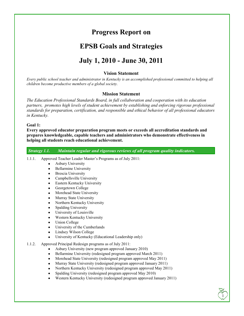# **Progress Report on**

# **EPSB Goals and Strategies**

# **July 1, 2010 - June 30, 2011**

# **Vision Statement**

*Every public school teacher and administrator in Kentucky is an accomplished professional committed to helping all children become productive members of a global society.* 

# **Mission Statement**

*The Education Professional Standards Board, in full collaboration and cooperation with its education partners, promotes high levels of student achievement by establishing and enforcing rigorous professional standards for preparation, certification, and responsible and ethical behavior of all professional educators in Kentucky.* 

#### **Goal 1:**

**Every approved educator preparation program meets or exceeds all accreditation standards and prepares knowledgeable, capable teachers and administrators who demonstrate effectiveness in helping all students reach educational achievement.**

*Strategy 1.1. Maintain regular and rigorous reviews of all program quality indicators.*

- 1.1.1. Approved Teacher Leader Master's Programs as of July 2011:
	- Asbury University
	- Bellarmine University
	- Brescia University
	- Campbellsville University
	- Eastern Kentucky University
	- Georgetown College
	- Morehead State University
	- Murray State University
	- Northern Kentucky University
	- Spalding University
	- University of Louisville
	- Western Kentucky University
	- Union College
	- University of the Cumberlands
	- Lindsey Wilson College
	- University of Kentucky (Educational Leadership only)
- 1.1.2. Approved Principal Redesign programs as of July 2011:
	- Asbury University (new program approved January 2010)
	- Bellarmine University (redesigned program approved March 2011)
	- Morehead State University (redesigned program approved May 2011)
	- Murray State University (redesigned program approved January 2011)
	- Northern Kentucky University (redesigned program approved May 2011)
	- Spalding University (redesigned program approved May 2010)
	- Western Kentucky University (redesigned program approved January 2011)

 $\sqrt{1}$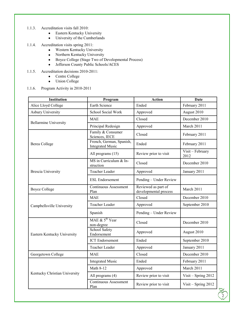- 1.1.3. Accreditation visits fall 2010:
	- Eastern Kentucky University  $\bullet$
	- University of the Cumberlands  $\bullet$
- 1.1.4. Accreditation visits spring 2011:
	- Western Kentucky University  $\bullet$
	- Northern Kentucky University  $\bullet$
	- $\bullet$ Boyce College (Stage Two of Developmental Process)
	- $\bullet$ Jefferson County Public Schools/ACES
- 1.1.5. Accreditation decisions 2010-2011:
	- Centre College  $\bullet$
	- $\bullet$ Union College
- 1.1.6. Program Activity in 2010-2011

| <b>Institution</b>            | Program                                             | <b>Action</b>                                                                                                                                      | Date                     |
|-------------------------------|-----------------------------------------------------|----------------------------------------------------------------------------------------------------------------------------------------------------|--------------------------|
| Alice Lloyd College           | Earth Science                                       | Ended                                                                                                                                              | February 2011            |
| <b>Asbury University</b>      | School Social Work                                  | Approved                                                                                                                                           | August 2010              |
|                               | <b>MAE</b>                                          | Closed                                                                                                                                             | December 2010            |
| <b>Bellarmine University</b>  | Principal Redesign                                  | Approved                                                                                                                                           | March 2011               |
|                               | Family & Consumer<br>Sciences, IECE                 | Closed                                                                                                                                             | February 2011            |
| <b>Berea College</b>          | French, German, Spanish,<br><b>Integrated Music</b> | Ended                                                                                                                                              | February 2011            |
|                               | All programs (15)                                   | Review prior to visit                                                                                                                              | Visit - February<br>2012 |
|                               | MS in Curriculum & In-<br>struction                 | Closed                                                                                                                                             | December 2010            |
| <b>Brescia University</b>     | Teacher Leader                                      | Approved                                                                                                                                           | January 2011             |
|                               | <b>ESL Endorsement</b>                              | Pending - Under Review                                                                                                                             |                          |
| <b>Boyce College</b>          | <b>Continuous Assessment</b><br>Plan                | Reviewed as part of<br>developmental process                                                                                                       | March 2011               |
|                               | <b>MAE</b>                                          | Closed                                                                                                                                             | December 2010            |
| Campbellsville University     | Teacher Leader                                      | Approved                                                                                                                                           | September 2010           |
|                               | Spanish                                             | Pending - Under Review<br>Closed<br>Approved<br>Ended<br>Approved<br>Closed<br>Ended<br>Approved<br>Review prior to visit<br>Review prior to visit |                          |
|                               | MAE $\&$ 5 <sup>th</sup> Year<br>non-degree         |                                                                                                                                                    | December 2010            |
| Eastern Kentucky University   | School Safety<br>Endorsement                        |                                                                                                                                                    | August 2010              |
|                               | <b>ICT</b> Endorsement                              |                                                                                                                                                    | September 2010           |
|                               | Teacher Leader                                      |                                                                                                                                                    | January 2011             |
| Georgetown College            | <b>MAE</b>                                          |                                                                                                                                                    | December 2010            |
|                               | <b>Integrated Music</b>                             |                                                                                                                                                    | February 2011            |
|                               | Math 8-12                                           |                                                                                                                                                    | March 2011               |
| Kentucky Christian University | All programs (4)                                    |                                                                                                                                                    | Visit - Spring 2012      |
|                               | <b>Continuous Assessment</b><br>Plan                |                                                                                                                                                    | Visit - Spring 2012      |

 $\frac{1}{2}$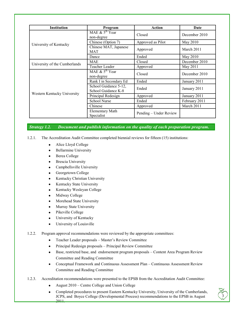| <b>Institution</b> | Program                                                                                                                                                                                                                                            | Action                                                                                          | Date          |
|--------------------|----------------------------------------------------------------------------------------------------------------------------------------------------------------------------------------------------------------------------------------------------|-------------------------------------------------------------------------------------------------|---------------|
|                    | MAE $& 5^{\text{th}}$ Year<br>non-degree                                                                                                                                                                                                           | Closed                                                                                          | December 2010 |
|                    | Chinese (Option 7)                                                                                                                                                                                                                                 | Approved as Pilot                                                                               | May 2010      |
|                    | Chinese MAT, Japanese<br><b>MAT</b>                                                                                                                                                                                                                | Approved                                                                                        | March 2011    |
|                    | Dance                                                                                                                                                                                                                                              | Ended                                                                                           | May 2010      |
|                    | <b>MAE</b>                                                                                                                                                                                                                                         | Closed                                                                                          | December 2010 |
|                    | Teacher Leader                                                                                                                                                                                                                                     | Approved<br>Closed<br>Ended<br>Ended<br>Approved<br>Ended<br>Approved<br>Pending – Under Review | May 2011      |
|                    | MAE $\&$ 5 <sup>th</sup> Year<br>non-degree                                                                                                                                                                                                        |                                                                                                 | December 2010 |
|                    | University of Kentucky<br>University of the Cumberlands<br>Rank I in Secondary Ed<br>School Guidance 5-12,<br>School Guidance K-8<br>Western Kentucky University<br>Principal Redesign<br><b>School Nurse</b><br>Chinese<br><b>Elementary Math</b> |                                                                                                 | January 2011  |
|                    |                                                                                                                                                                                                                                                    |                                                                                                 | January 2011  |
|                    |                                                                                                                                                                                                                                                    |                                                                                                 | January 2011  |
|                    |                                                                                                                                                                                                                                                    |                                                                                                 | February 2011 |
|                    |                                                                                                                                                                                                                                                    |                                                                                                 | March 2011    |
|                    | Specialist                                                                                                                                                                                                                                         |                                                                                                 |               |

*Strategy 1.2. Document and publish information on the quality of each preparation program.*

- 1.2.1. The Accreditation Audit Committee completed biennial reviews for fifteen (15) institutions:
	- $\bullet$ Alice Lloyd College
	- $\bullet$ Bellarmine University
	- Berea College  $\bullet$
	- Brescia University  $\bullet$
	- Campbellsville University  $\bullet$
	- Georgetown College  $\bullet$
	- Kentucky Christian University  $\bullet$
	- Kentucky State University  $\bullet$
	- Kentucky Wesleyan College  $\bullet$
	- Midway College  $\bullet$
	- Morehead State University  $\bullet$
	- Murray State University  $\bullet$
	- $\bullet$ Pikeville College
	- University of Kentucky  $\bullet$
	- University of Louisville  $\bullet$
- 1.2.2. Program approval recommendations were reviewed by the appropriate committees:
	- Teacher Leader proposals Master's Review Committee  $\bullet$
	- Principal Redesign proposals Principal Review Committee  $\bullet$
	- Base, restricted base, and endorsement program proposals Content Area Program Review  $\bullet$ Committee and Reading Committee
	- Conceptual Framework and Continuous Assessment Plan Continuous Assessment Review  $\bullet$ Committee and Reading Committee
- 1.2.3. Accreditation recommendations were presented to the EPSB from the Accreditation Audit Committee:
	- August 2010 Centre College and Union College
	- Completed procedures to present Eastern Kentucky University, University of the Cumberlands, JCPS, and Boyce College (Developmental Process) recommendations to the EPSB in August 2011.

 $\sqrt{3}$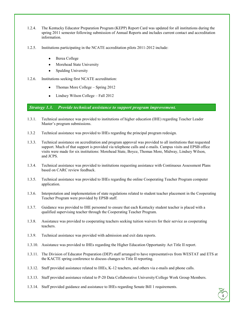- 1.2.4. The Kentucky Educator Preparation Program (KEPP) Report Card was updated for all institutions during the spring 2011 semester following submission of Annual Reports and includes current contact and accreditation information.
- 1.2.5. Institutions participating in the NCATE accreditation pilots 2011-2012 include:
	- Berea College
	- Morehead State University
	- Spalding University  $\bullet$
- 1.2.6. Institutions seeking first NCATE accreditation:
	- Thomas More College Spring 2012
	- Lindsey Wilson College Fall 2012

*Strategy 1.3. Provide technical assistance to support program improvement.*

- 1.3.1. Technical assistance was provided to institutions of higher education (IHE) regarding Teacher Leader Master's program submissions.
- 1.3.2 Technical assistance was provided to IHEs regarding the principal program redesign.
- 1.3.3. Technical assistance on accreditation and program approval was provided to all institutions that requested support. Much of that support is provided via telephone calls and e-mails. Campus visits and EPSB office visits were made for six institutions: Morehead State, Boyce, Thomas More, Midway, Lindsey Wilson, and JCPS.
- 1.3.4. Technical assistance was provided to institutions requesting assistance with Continuous Assessment Plans based on CARC review feedback.
- 1.3.5. Technical assistance was provided to IHEs regarding the online Cooperating Teacher Program computer application.
- 1.3.6. Interpretation and implementation of state regulations related to student teacher placement in the Cooperating Teacher Program were provided by EPSB staff.
- 1.3.7. Guidance was provided to IHE personnel to ensure that each Kentucky student teacher is placed with a qualified supervising teacher through the Cooperating Teacher Program.
- 1.3.8. Assistance was provided to cooperating teachers seeking tuition waivers for their service as cooperating teachers.
- 1.3.9. Technical assistance was provided with admission and exit data reports.
- 1.3.10. Assistance was provided to IHEs regarding the Higher Education Opportunity Act Title II report.
- 1.3.11. The Division of Educator Preparation (DEP) staff arranged to have representatives from WESTAT and ETS at the KACTE spring conference to discuss changes to Title II reporting.
- 1.3.12. Staff provided assistance related to IHEs, K-12 teachers, and others via e-mails and phone calls.
- 1.3.13. Staff provided assistance related to P-20 Data Collaborative University/College Work Group Members.
- 1.3.14. Staff provided guidance and assistance to IHEs regarding Senate Bill 1 requirements.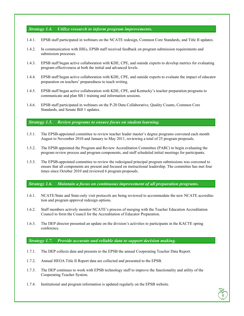#### *Strategy 1.4. Utilize research to inform program improvements.*

- 1.4.1. EPSB staff participated in webinars on the NCATE redesign, Common Core Standards, and Title II updates.
- 1.4.2. In communication with IHEs, EPSB staff received feedback on program submission requirements and submission processes.
- 1.4.3. EPSB staff began active collaboration with KDE, CPE, and outside experts to develop metrics for evaluating program effectiveness at both the initial and advanced levels.
- 1.4.4. EPSB staff began active collaboration with KDE, CPE, and outside experts to evaluate the impact of educator preparation on teachers' preparedness to teach writing.
- 1.4.5. EPSB staff began active collaboration with KDE, CPE, and Kentucky's teacher preparation programs to communicate and plan SB 1 training and information sessions.
- 1.4.6. EPSB staff participated in webinars on the P-20 Data Collaborative, Quality Counts, Common Core Standards, and Senate Bill 1 updates.

## *Strategy 1.5. Review programs to ensure focus on student learning.*

- 1.5.1. The EPSB-appointed committee to review teacher leader master's degree programs convened each month August to November 2010 and January to May 2011, reviewing a total of 25 program proposals.
- 1.5.2. The EPSB appointed the Program and Review Accreditation Committee (PARC) to begin evaluating the program review process and program components, and staff scheduled initial meetings for participants.
- 1.5.3. The EPSB-appointed committee to review the redesigned principal program submissions was convened to ensure that all components are present and focused on instructional leadership. The committee has met four times since October 2010 and reviewed 6 program proposals.

*Strategy 1.6. Maintain a focus on continuous improvement of all preparation programs.*

- 1.6.1. NCATE/State and State-only visit protocols are being reviewed to accommodate the new NCATE accreditation and program approval redesign options.
- 1.6.2. Staff members actively monitor NCATE's process of merging with the Teacher Education Accreditation Council to form the Council for the Accreditation of Educator Preparation.
- 1.6.3. The DEP director presented an update on the division's activities to participants in the KACTE spring conference.

#### *Strategy 1.7. Provide accurate and reliable data to support decision making.*

- 1.7.1. The DEP collects data and presents to the EPSB the annual Cooperating Teacher Data Report.
- 1.7.2. Annual HEOA Title II Report data are collected and presented to the EPSB.
- 1.7.3. The DEP continues to work with EPSB technology staff to improve the functionality and utility of the Cooperating Teacher System.
- 1.7.4. Institutional and program information is updated regularly on the EPSB website.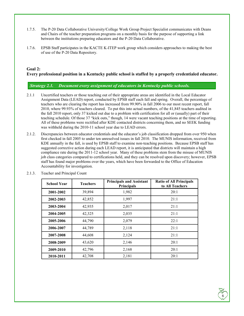- 1.7.5. The P-20 Data Collaborative University/College Work Group Project Specialist communicates with Deans and Chairs of the teacher preparation programs on a monthly basis for the purpose of supporting a link between the institutions preparing educators and the P-20 Data Collaborative.
- 1.7.6. EPSB Staff participates in the KACTE K-ITEP work group which considers approaches to making the best of use of the P-20 Data Repository.

## **Goal 2:**

# **Every professional position in a Kentucky public school is staffed by a properly credentialed educator.**

## *Strategy 2.1. Document every assignment of educators in Kentucky public schools.*

- 2.1.1 Uncertified teachers or those teaching out of their appropriate areas are identified in the Local Educator Assignment Data (LEAD) report, conducted by EPSB staff each fall and spring. Overall, the percentage of teachers who are clearing the report has increased from 99.90% in fall 2006 to our most recent report, fall 2010, where 99.93% of teachers cleared. To put this into actual numbers, of the 41,845 teachers audited in the fall 2010 report, only 37 kicked out due to a problem with certification for all or (usually) part of their teaching schedule. Of those 37 "kick outs," though, 14 were vacant teaching positions at the time of reporting. All of these problems were rectified after KDE contacted districts concerning them, and no SEEK funding was withheld during the 2010-11 school year due to LEAD errors.
- 2.1.2. Discrepancies between educator credentials and the educator's job classification dropped from over 950 when first checked in fall 2005 to under ten unresolved issues in fall 2010. The MUNIS information, received from KDE annually in the fall, is used by EPSB staff to examine non-teaching positions. Because EPSB staff has suggested corrective action during each LEAD report, it is anticipated that districts will maintain a high compliance rate during the 2011-12 school year. Many of these problems stem from the misuse of MUNIS job class categories compared to certifications held, and they can be resolved upon discovery; however, EPSB staff has found major problems over the years, which have been forwarded to the Office of Education Accountability for investigation.

| <b>School Year</b> | <b>Teachers</b> | <b>Principals and Assistant</b><br>Principals | <b>Ratio of All Principals</b><br>to All Teachers |
|--------------------|-----------------|-----------------------------------------------|---------------------------------------------------|
| 2001-2002          | 39,894          | 1,982                                         | 20:1                                              |
| 2002-2003          | 42,852          | 1,997                                         | 21:1                                              |
| 2003-2004          | 42,935          | 2,017                                         | 21:1                                              |
| 2004-2005          | 42,325          | 2,035                                         | 21:1                                              |
| 2005-2006          | 44,790          | 2,079                                         | 22:1                                              |
| 2006-2007          | 44,789          | 2,118                                         | 21:1                                              |
| 2007-2008          | 44,608          | 2,124                                         | 21:1                                              |
| 2008-2009          | 43,620          | 2,146                                         | 20:1                                              |
| 2009-2010          | 42,796          | 2,168                                         | 20:1                                              |
| 2010-2011          | 42,708          | 2,181                                         | 20:1                                              |

2.1.3. Teacher and Principal Count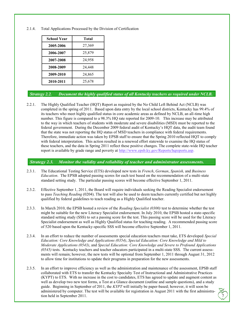2.1.4. Total Applications Processed by the Division of Certification

| School Year | <b>Total</b> |
|-------------|--------------|
| 2005-2006   | 27,369       |
| 2006-2007   | 25,879       |
| 2007-2008   | 24,958       |
| 2008-2009   | 24,448       |
| 2009-2010   | 24,865       |
| 2010-2011   | 25,678       |

# *Strategy 2.2. Document the highly qualified status of all Kentucky teachers as required under NCLB.*

2.2.1. The Highly Qualified Teacher (HQT) Report as required by the No Child Left Behind Act (NCLB) was completed in the spring of 2011. Based upon data entry by the local school districts, Kentucky has 99.4% of its teachers who meet highly qualified status in core academic areas as defined by NCLB, an all-time high number. This figure is compared to a 98.3% HQ rate reported for 2009-10. This increase may be attributed to the way in which teachers of students with moderate and severe disabilities (MSD) must be reported to the federal government. During the December 2009 federal audit of Kentucky's HQT data, the audit team found that the state was not reporting the HQ status of MSD teachers in compliance with federal requirements. Therefore, immediate action was taken by EPSB staff to ensure that the Spring 2010 reflected HQT to comply with federal interpretation. This action resulted in a renewed effort statewide to examine the HQ status of these teachers, and the data in Spring 2011 reflect these positive changes. The complete state-wide HQ teacher report is available by grade range and poverty at [http://www.epsb.ky.gov/Reports/hqreports.asp.](http://www.epsb.ky.gov/Reports/hqreports.asp)

## *Strategy 2.3. Monitor the validity and reliability of teacher and administrator assessments.*

- 2.3.1. The Educational Testing Service (ETS) developed new tests in *French*, *German*, *Spanish,* and *Business Education*. The EPSB adopted passing scores for each test based on the recommendation of a multi-state standard setting study. The particular passing scores will become effective September 1, 2011.
- 2.3.2. Effective September 1, 2011, the Board will require individuals seeking the Reading Specialist endorsement to pass *Teaching Reading* (0204). The test will also be used to deem teachers currently certified but not highly qualified by federal guidelines to teach reading as a Highly Qualified teacher.
- 2.3.3. In March 2010, the EPSB hosted a review of the *Reading Specialist (0300)* test to determine whether the test might be suitable for the new Literacy Specialist endorsement. In July 2010, the EPSB hosted a state-specific standard setting study (SSS) to set a passing score for the test. This passing score will be used for the Literacy Specialist endorsement as well as Highly Qualified status for teaching reading. A recommended passing score of 520 based upon the Kentucky-specific SSS will become effective September 1, 2011.
- 2.3.4. In an effort to reduce the number of assessments special education teachers must take, ETS developed *Special Education: Core Knowledge and Applications (0354)*, *Special Education: Core Knowledge and Mild to Moderate Applications (0543)*, and *Special Education: Core Knowledge and Severe to Profound Applications (0545)* tests. Kentucky teachers and teacher educators participated in a multi-state SSS. The current assessments will remain; however, the new tests will be optional from September 1, 2011 through August 31, 2012 to allow time for institutions to update their programs in preparation for the new assessments.
- 2.3.5. In an effort to improve efficiency as well as the administration and maintenance of the assessment, EPSB staff collaborated with ETS to transfer the Kentucky Specialty Test of Instructional and Administrative Practices (KYPT) to ETS. With no increase in the cost to candidates, ETS has agreed to update and augment content as well as develop two new test forms, a Test at a Glance document (outline and sample questions), and a study guide. Beginning in September of 2011, the *KYPT* will initially be paper-based; however, it will soon be administered by computer. The test will be available for registration in August 2011 with the first administration held in September 2011.

 $\sqrt{7}$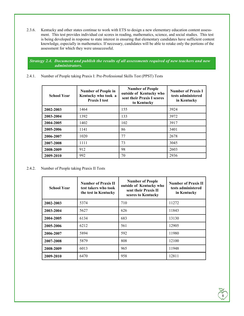2.3.6. Kentucky and other states continue to work with ETS to design a new elementary education content assessment. This test provides individual cut scores in reading, mathematics, science, and social studies. This test is being developed in response to state interest in ensuring that elementary candidates have sufficient content knowledge, especially in mathematics. If necessary, candidates will be able to retake only the portions of the assessment for which they were unsuccessful.

*Strategy 2.4. Document and publish the results of all assessments required of new teachers and new administrators.*

2.4.1. Number of People taking Praxis I: Pre-Professional Skills Test (PPST) Tests

| <b>School Year</b> | <b>Number of People in</b><br>Kentucky who took a<br><b>Praxis I test</b> | <b>Number of People</b><br>outside of Kentucky who<br>sent their Praxis I scores<br>to Kentucky | <b>Number of Praxis I</b><br>tests administered<br>in Kentucky |  |
|--------------------|---------------------------------------------------------------------------|-------------------------------------------------------------------------------------------------|----------------------------------------------------------------|--|
| 2002-2003          | 1464                                                                      | 155                                                                                             | 3924                                                           |  |
| 2003-2004          | 1392                                                                      | 133                                                                                             | 3972                                                           |  |
| 2004-2005          | 1402                                                                      | 102                                                                                             | 3917                                                           |  |
| 2005-2006          | 1141                                                                      | 86                                                                                              | 3401                                                           |  |
| 2006-2007          | 1020                                                                      | 77                                                                                              | 2678                                                           |  |
| 2007-2008          | 1111                                                                      | 73                                                                                              | 3045                                                           |  |
| 2008-2009          | 912                                                                       | 98                                                                                              | 2603                                                           |  |
| 2009-2010          | 992                                                                       | 70                                                                                              | 2936                                                           |  |

2.4.2. Number of People taking Praxis II Tests

| <b>School Year</b> | <b>Number of People</b><br><b>Number of Praxis II</b><br>outside of Kentucky who<br>test takers who took<br>sent their Praxis II<br>the test in Kentucky<br>scores to Kentucky |     | <b>Number of Praxis II</b><br>tests administered<br>in Kentucky |
|--------------------|--------------------------------------------------------------------------------------------------------------------------------------------------------------------------------|-----|-----------------------------------------------------------------|
| 2002-2003          | 5374                                                                                                                                                                           | 710 | 11272                                                           |
| 2003-2004          | 5627                                                                                                                                                                           | 626 | 11843                                                           |
| 2004-2005          | 6134                                                                                                                                                                           | 683 | 13130                                                           |
| 2005-2006          | 6212                                                                                                                                                                           | 561 | 12905                                                           |
| 2006-2007          | 5894                                                                                                                                                                           | 592 | 11980                                                           |
| 2007-2008          | 5879                                                                                                                                                                           | 808 | 12100                                                           |
| 2008-2009          | 6013                                                                                                                                                                           | 965 | 11948                                                           |
| 2009-2010          | 6470                                                                                                                                                                           | 958 | 12811                                                           |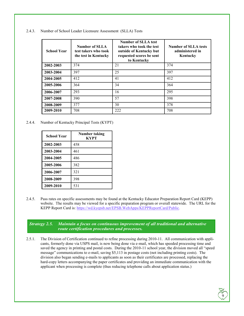|  | 2.4.3. Number of School Leader Licensure Assessment (SLLA) Tests |  |  |
|--|------------------------------------------------------------------|--|--|
|--|------------------------------------------------------------------|--|--|

| <b>School Year</b> | Number of SLLA<br>test takers who took<br>the test in Kentucky | Number of SLLA test<br>takers who took the test<br>outside of Kentucky but<br>requested scores be sent<br>to Kentucky | <b>Number of SLLA tests</b><br>administered in<br>Kentucky |
|--------------------|----------------------------------------------------------------|-----------------------------------------------------------------------------------------------------------------------|------------------------------------------------------------|
| 2002-2003          | 374                                                            | 21                                                                                                                    | 374                                                        |
| 2003-2004          | 397                                                            | 25                                                                                                                    | 397                                                        |
| 2004-2005          | 412                                                            | 41                                                                                                                    | 412                                                        |
| 2005-2006          | 364                                                            | 34                                                                                                                    | 364                                                        |
| 2006-2007          | 293                                                            | 16                                                                                                                    | 295                                                        |
| 2007-2008          | 390                                                            | 57                                                                                                                    | 398                                                        |
| 2008-2009          | 377                                                            | 30                                                                                                                    | 378                                                        |
| 2009-2010          | 708                                                            | 222                                                                                                                   | 708                                                        |

2.4.4. Number of Kentucky Principal Tests (KYPT)

| <b>School Year</b> | Number taking<br><b>KYPT</b> |
|--------------------|------------------------------|
| 2002-2003          | 458                          |
| 2003-2004          | 461                          |
| 2004-2005          | 486                          |
| 2005-2006          | 382                          |
| 2006-2007          | 321                          |
| 2008-2009          | 398                          |
| 2009-2010          | 531                          |

2.4.5. Pass rates on specific assessments may be found at the Kentucky Educator Preparation Report Card (KEPP) website. The results may be viewed for a specific preparation program or overall statewide. The URL for the KEPP Report Card is: [https://wd.kyepsb.net/EPSB.WebApps/KEPPReportCard/Public.](https://wd.kyepsb.net/EPSB.WebApps/KEPPReportCard/Public)

*Strategy 2.5. Maintain a focus on continuous improvement of all traditional and alternative route certification procedures and processes.*

2.5.1. The Division of Certification continued to refine processing during 2010-11. All communication with applicants, formerly done via USPS mail, is now being done via e-mail, which has speeded processing time and saved the agency in printing and postal costs. During the 2010-11 school year, the division moved all "speed message" communications to e-mail, saving \$5,113 in postage costs (not including printing costs). The division also began sending e-mails to applicants as soon as their certificates are processed, replacing the hard-copy letters accompanying the paper certificates and providing an immediate communication with the applicant when processing is complete (thus reducing telephone calls about application status.)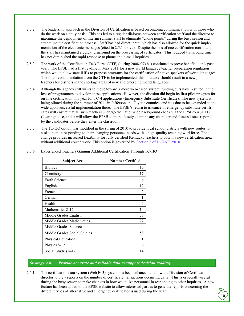- 2.5.2. The leadership approach in the Division of Certification is based on ongoing communication with those who do the work on a daily basis. This has led to a regular dialogue between certification staff and the director to maximize the deployment of interim summer staff to eliminate "choke points" during the busy season and streamline the certification process. Staff has had direct input, which has also allowed for the quick implementation of the electronic messages (cited in 2.5.1 above). Despite the loss of one certification consultant, the staff has maintained a quick turnaround on the processing of certificates. This reduced turnaround time has not diminished the rapid response to phone and e-mail inquiries.
- 2.5.3. The work of the Certification Task Force (CTF) (during 2008-09) has continued to prove beneficial this past year. The EPSB had a first reading in May 2011 for a new world language teacher preparation regulation which would allow state IHEs to propose programs for the certification of native speakers of world languages. The final recommendation from the CTF to be implemented, this initiative should result in a new pool of teachers for districts in the shortage areas of new and emerging world languages.
- 2.5.4. Although the agency still wants to move toward a more web-based system, funding cuts have resulted in the loss of programmers to develop these applications. However, the division did begin its first pilot program for on-line certification this year for TC-4 applications (Emergency Substitute Certificate). The new system is being piloted during the summer of 2011 in Jefferson and Fayette counties, and it is due to be expanded statewide upon successful implementation there. The EPSB's return to issuance of emergency substitute certificates will ensure that all such teachers undergo the nationwide background check via the EPSB/NASDTEC Clearinghouse, and it will allow the EPSB to more closely examine any character and fitness issues reported by the candidates before they enter the classroom.
- 2.5.5 The TC-HQ option was modified in the spring of 2010 to provide local school districts with new routes to assist them in responding to their changing personnel needs with a high-quality teaching workforce. The change provides increased flexibility for fully certified Kentucky teachers to obtain a new certification area without additional course work. This option is governed by [Section 5 of 16 KAR 2:010.](http://www.epsb.ky.gov/documents/Cert/TCHQNewLanguage_spring%202010.doc)

| <b>Subject Area</b>          | <b>Number Certified</b>     |
|------------------------------|-----------------------------|
| <b>Biology</b>               | 13                          |
| Chemistry                    | 17                          |
| Earth Science                | 6                           |
| English                      | 12                          |
| French                       | $\mathcal{D}_{\mathcal{L}}$ |
| German                       |                             |
| Health                       | 5                           |
| Mathematics 8-12             | 14                          |
| Middle Grades English        | 58                          |
| Middle Grades Mathematics    | 72                          |
| Middle Grades Science        | 44                          |
| Middle Grades Social Studies | 58                          |
| <b>Physical Education</b>    |                             |
| Physics 8-12                 | 6                           |
| Social Studies 8-12          | 14                          |

2.5.6. Experienced Teachers Gaining Additional Certification Through TC-HQ

#### *Strategy 2.6. Provide accurate and reliable data to support decision making.*

2.6.1. The certification data system (Web E03) system has been enhanced to allow the Division of Certification director to view reports on the number of certificate transactions occurring daily. This is especially useful during the busy season to make changes in how we utilize personnel in responding to other inquiries. A new feature has been added to the EPSB website to allow interested parties to generate reports concerning the different types of alternative and emergency certificates issued during the year.

 $\sqrt{10}$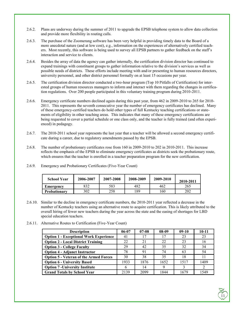- 2.6.2. Plans are underway during the summer of 2011 to upgrade the EPSB telephone system to allow data collection and provide more flexibility in routing calls.
- 2.6.3. The purchase of the Zoomerang software has been very helpful in providing timely data to the Board of a more anecdotal nature (and at low cost), e.g., information on the experiences of alternatively certified teachers. Most recently, this software is being used to survey all EPSB partners to gather feedback on the staff's interaction and service to clients.
- 2.6.4. Besides the array of data the agency can gather internally, the certification division director has continued to expand trainings with constituent groups to gather information relative to the division's services as well as possible needs of districts. These efforts include meeting with and/or presenting to human resources directors, university personnel, and other district personnel formally on at least 15 occasions per year.
- 2.6.5. The certification division director conducted a two-hour program (Top 10 Pitfalls of Certification) for interested groups of human resources managers to inform and interact with them regarding the changes in certification regulations. Over 200 people participated in this voluntary training program during 2010-2011.
- 2.6.6. Emergency certificate numbers declined again during this past year, from 462 in 2009-2010 to 265 for 2010- 2011. This represents the seventh consecutive year the number of emergency certificates has declined. Many of these emergency-certified teachers do hold other types of full Kentucky teaching certifications or statements of eligibility in other teaching areas. This indicates that many of these emergency certifications are being requested to cover a partial schedule or one class only, and the teacher is fully trained (and often experienced) in pedagogy.
- 2.6.7. The 2010-2011 school year represents the last year that a teacher will be allowed a second emergency certificate during a career, due to regulatory amendments passed by the EPSB.
- 2.6.8. The number of probationary certificates rose from 160 in 2009-2010 to 202 in 2010-2011. This increase reflects the emphasis of the EPSB to eliminate emergency certificates as districts seek the probationary route, which ensures that the teacher is enrolled in a teacher preparation program for the new certification.

| <b>School Year</b>  | 2006-2007 | 2007-2008 | 2008-2009 | 2009-2010 | 2010-2011 |
|---------------------|-----------|-----------|-----------|-----------|-----------|
| Emergency           | 832       | 583       | 482       | 462       | 265       |
| <b>Probationary</b> | 302       | 258       | 189       | 160       | 202       |

2.6.9. Emergency and Probationary Certificates (Five-Year Count)

- 2.6.10. Similar to the decline in emergency certificate numbers, the 2010-2011 year reflected a decrease in the number of Kentucky teachers using an alternative route to acquire certification. This is likely attributed to the overall hiring of fewer new teachers during the year across the state and the easing of shortages for LBD special education teachers.
- 2.6.11. Alternative Routes to Certification (Five-Year Count)

| <b>Description</b>                            | $06 - 07$ | $07-08$ | $08-09$ | $09-10$ | $10 - 11$ |
|-----------------------------------------------|-----------|---------|---------|---------|-----------|
| <b>Option 1 - Exceptional Work Experience</b> | 41        | 17      | 17      | 23      | 23        |
| <b>Option 2 - Local District Training</b>     | 22        | 21      | 22      | 23      | 16        |
| <b>Option 3 - College Faculty</b>             | 29        | 42      | 35      | 32      | 34        |
| <b>Option 4 - Adjunct Instructor</b>          | 78        | 91      | 74      | 63      | 54        |
| <b>Option 5 - Veteran of the Armed Forces</b> | 30        | 38      | 35      | 18      | 11        |
| <b>Option 6 - University Based</b>            | 1933      | 1876    | 1652    | 1517    | 1409      |
| <b>Option 7 - University Institute</b>        | 6         | 14      | Q       |         |           |
| <b>Grand Totals by School Year</b>            | 2139      | 2099    | 1844    | 1679    | 1549      |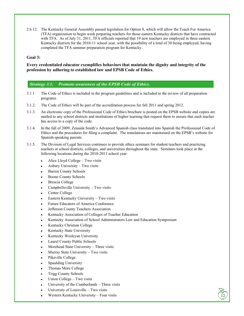2.6.12. The Kentucky General Assembly passed legislation for Option 8, which will allow the Teach For America (TFA) organization to begin work preparing teachers for those eastern Kentucky districts that have contracted with TFA. As of July 31, 2011, TFA officials reported that 19 new teachers are employed in three eastern Kentucky districts for the 2010-11 school year, with the possibility of a total of 30 being employed, having completed the TFA summer preparation program for Kentucky.

## **Goal 3:**

## **Every credentialed educator exemplifies behaviors that maintain the dignity and integrity of the profession by adhering to established law and EPSB Code of Ethics.**

# *Strategy 3.1. Promote awareness of the EPSB Code of Ethics.*

- 3.1.1 The Code of Ethics is included in the program guidelines and is included in the review of all preparation programs.
- 3.1.2. The Code of Ethics will be part of the accreditation process for fall 2011 and spring 2012.
- 3.1.3. An electronic copy of the Professional Code of Ethics brochure is posted on the EPSB website and copies are mailed to any school districts and institutions of higher learning that request them to ensure that each teacher has access to a copy of the code.
- 3.1.4. In the fall of 2009, Zenaida Smith's Advanced Spanish class translated into Spanish the Professional Code of Ethics and the procedures for filing a complaint. The translations are maintained on the EPSB's website for Spanish-speaking parents.
- 3.1.5. The Division of Legal Services continues to provide ethics seminars for student teachers and practicing teachers at school districts, colleges, and universities throughout the state. Seminars took place at the following locations during the 2010-2011 school year:
	- Alice Lloyd College Two visits
	- Asbury University Two visits
	- Barren County Schools
	- Boone County Schools
	- Brescia College
	- Campbellsville University Two visits
	- Centre College
	- Eastern Kentucky University Two visits
	- Future Educators of America Conference
	- Jefferson County Teachers Association
	- Kentucky Association of Colleges of Teacher Education
	- Kentucky Association of School Administrators Law and Education Symposium

 $\sqrt{12}$ 

- Kentucky Christian College
- Kentucky State University
- Kentucky Wesleyan University
- Laurel County Public Schools
- Morehead State University Three visits
- Murray State University Two visits
- Pikeville College
- Spaulding University
- Thomas More College
- Trigg County Schools
- Union College Two visits
- University of the Cumberlands Three visits
- University of Louisville Two visits
- Western Kentucky University Four visits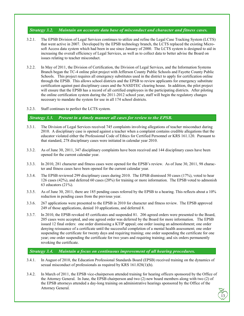## *Strategy 3.2. Maintain an accurate data base of misconduct and character and fitness cases.*

- 3.2.1. The EPSB Division of Legal Services continues to utilize and refine the Legal Case Tracking System (LCTS) that went active in 2007. Developed by the EPSB technology branch, the LCTS replaced the existing Microsoft Access data system which had been in use since January of 2000. The LCTS system is designed to aid in increasing the overall efficiency of Legal Services, as well as to collect data to better advise the Board on issues relating to teacher misconduct.
- 3.2.2. In May of 2011, the Division of Certification, the Division of Legal Services, and the Information Systems Branch began the TC-4 online pilot project with Jefferson County Public Schools and Fayette County Public Schools. This project requires all emergency substitutes used in the district to apply for certification online through the EPSB. This allows school districts and the EPSB to review applicants for emergency substitute certification against past disciplinary cases and the NASDTEC clearing house. In addition, the pilot project will ensure that the EPSB has a record of all certified employees in the participating districts. After piloting the online certification system during the 2011-2012 school year, staff will begin the regulatory changes necessary to mandate the system for use in all 174 school districts.
- 3.2.3. Staff continues to perfect the LCTS system.

*Strategy 3.3. Present in a timely manner all cases for review to the EPSB.*

- 3.3.1. The Division of Legal Services received 745 complaints involving allegations of teacher misconduct during 2010. A disciplinary case is opened against a teacher when a complaint contains credible allegations that the educator violated either the Professional Code of Ethics for Certified Personnel or KRS 161.120. Pursuant to that standard, 278 disciplinary cases were initiated in calendar year 2010.
- 3.3.2. As of June 30, 2011, 347 disciplinary complaints have been received and 144 disciplinary cases have been opened for the current calendar year.
- 3.3.3. In 2010, 281 character and fitness cases were opened for the EPSB's review. As of June 30, 2011, 98 character and fitness cases have been opened for the current calendar year.
- 3.3.4. The EPSB reviewed 299 disciplinary cases during 2010. The EPSB dismissed 50 cases (17%), voted to hear 126 cases (42%), and deferred 60 cases (20%) for training or more information. The EPSB voted to admonish 63 educators (21%).
- 3.3.5. As of June 30, 2011, there are 185 pending cases referred by the EPSB to a hearing. This reflects about a 10% reduction in pending cases from the previous year.
- 3.3.6. 267 applications were presented to the EPSB in 2010 for character and fitness review. The EPSB approved 249 of those applications, denied 10 applications, and deferred 8.
- 3.3.7. In 2010, the EPSB revoked 45 certificates and suspended 81. 206 agreed orders were presented to the Board, 205 cases were accepted, and one agreed order was deferred by the Board for more information. The EPSB issued 12 final orders: one order dismissing a KTIP appeal; one order issuing an admonishment; one order denying reissuance of a certificate until the successful completion of a mental health assessment; one order suspending the certificate for twenty days and requiring training; one order suspending the certificate for one year; one order suspending the certificate for two years and requiring training; and six orders permanently revoking the certificate.

*Strategy 3.4. Maintain a focus on continuous improvement of all hearing procedures.*

- 3.4.1. In August of 2010, the Education Professional Standards Board (EPSB) received training on the dynamics of sexual misconduct of professionals as required by KRS 161.028(1)(h).
- 3.4.2. In March of 2011, the EPSB vice-chairperson attended training for hearing officers sponsored by the Office of the Attorney General. In June, the EPSB chairperson and two (2) new board members along with two (2) of the EPSB attorneys attended a day-long training on administrative hearings sponsored by the Office of the Attorney General.

 $\sqrt{13}$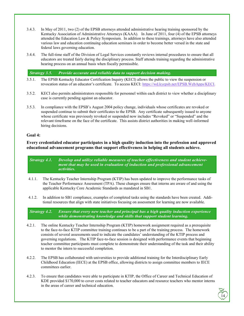- 3.4.3. In May of 2011, two (2) of the EPSB attorneys attended administrative hearing training sponsored by the Kentucky Association of Administrative Attorneys (KAAA). In June of 2011, four (4) of the EPSB attorneys attended the Education Law & Policy Symposium. In addition to these trainings, attorneys have also attended various law and education continuing education seminars in order to become better versed in the state and federal laws governing education.
- 3.4.4. The full-time staff of the Division of Legal Services constantly reviews internal procedures to ensure that all educators are treated fairly during the disciplinary process. Staff attends training regarding the administrative hearing process on an annual basis when fiscally permissible.

*Strategy 3.5. Provide accurate and reliable data to support decision making.*

- 3.5.1. The EPSB Kentucky Educator Certification Inquiry (KECI) allows the public to view the suspension or revocation status of an educator's certificate. To access KECI: [https://wd.kyepsb.net/EPSB.WebApps/KECI.](https://wd.kyepsb.net/EPSB.WebApps/KECI)
- 3.5.2. KECI also permits administrators responsible for personnel within each district to view whether a disciplinary case is currently pending against an educator.
- 3.5.3. In compliance with the EPSB's August 2004 policy change, individuals whose certificates are revoked or suspended continue to submit their certificates to the EPSB. Any certificate subsequently issued to anyone whose certificate was previously revoked or suspended now includes "Revoked" or "Suspended" and the relevant timeframe on the face of the certificate. This assists district authorities in making well-informed hiring decisions.

## **Goal 4:**

**Every credentialed educator participates in a high quality induction into the profession and approved educational advancement programs that support effectiveness in helping all students achieve.**

*Strategy 4.1. Develop and utilize reliable measures of teacher effectiveness and student achievement that may be used in evaluation of induction and professional advancement activities.*

- 4.1.1. The Kentucky Teacher Internship Program (KTIP) has been updated to improve the performance tasks of the Teacher Performance Assessment (TPA). These changes ensure that interns are aware of and using the applicable Kentucky Core Academic Standards as mandated in SB1.
- 4.1.2. In addition to SB1 compliance, examples of completed tasks using the standards have been created. Additional resources that align with state initiatives focusing on assessment for learning are now available.

*Strategy 4.2. Ensure that every new teacher and principal has a high quality induction experience while demonstrating knowledge and skills that support student learning.*

- 4.2.1. The online Kentucky Teacher Internship Program (KTIP) homework assignment required as a prerequisite to the face-to-face KTIP committee training continues to be a part of the training process. The homework consists of several assessments used to indicate the candidates' understanding of the KTIP process and governing regulations. The KTIP face-to-face session is designed with performance events that beginning teacher committee participants must complete to demonstrate their understanding of the task and their ability to mentor the intern to successful completion.
- 4.2.2. The EPSB has collaborated with universities to provide additional training for the Interdisciplinary Early Childhood Education (IECE) at the EPSB office, allowing districts to assign committee members to IECE committees earlier.
- 4.2.3. To ensure that candidates were able to participate in KTIP, the Office of Career and Technical Education of KDE provided \$170,000 to cover costs related to teacher educators and resource teachers who mentor interns in the areas of career and technical education.

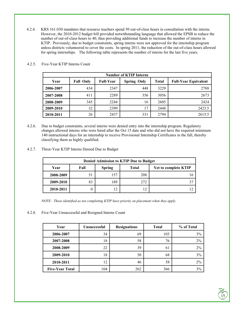4.2.4. KRS 161.030 mandates that resource teachers spend 50 out-of-class hours in consultation with the interns. However, the 2010-2012 budget bill provided notwithstanding language that allowed the EPSB to reduce the number of out-of-class hours to 40, thus providing additional funds to increase the number of interns in KTIP. Previously, due to budget constraints, spring interns were not approved for the internship program unless districts volunteered to cover the costs. In spring 2011, the reduction of the out-of-class hours allowed for spring internships. The following table represents the number of interns for the last five years.

| <b>Number of KTIP Interns</b> |                  |                  |                    |              |                             |
|-------------------------------|------------------|------------------|--------------------|--------------|-----------------------------|
| Year                          | <b>Fall Only</b> | <b>Full-Year</b> | <b>Spring Only</b> | <b>Total</b> | <b>Full-Year Equivalent</b> |
| 2006-2007                     | 434              | 2347             | 448                | 3229         | 2788                        |
| 2007-2008                     | 411              | 2289             | 356                | 3056         | 2673                        |
| 2008-2009                     | 345              | 2244             | 16                 | 2605         | 2424                        |
| 2009-2010                     | 32               | 2399             | 17                 | 2448         | 2423.5                      |
| 2010-2011                     | 26               | 2437             | 331                | 2794         | 2615.5                      |

4.2.5. Five-Year KTIP Interns Count

- 4.2.6. Due to budget constraints, several interns were denied entry into the internship program. Regulatory changes allowed interns who were hired after the Oct 15 date and who did not have the required minimum 140 instructional days for an internship to receive Provisional Internship Certificates in the fall, thereby classifying them as highly qualified.
- 4.2.7. Three-Year KTIP Interns Denied Due to Budget

| <b>Denied Admission to KTIP Due to Budget</b> |      |               |              |                             |
|-----------------------------------------------|------|---------------|--------------|-----------------------------|
| Year                                          | Fall | <b>Spring</b> | <b>Total</b> | <b>Yet to complete KTIP</b> |
| 2008-2009                                     | 51   | 157           | 208          |                             |
| 2009-2010                                     | 83   | 189           | 272          |                             |
| 2010-2011                                     |      | 12            | 12           |                             |

*NOTE: Those identified as not completing KTIP have priority on placement when they apply.* 

4.2.8. Five-Year Unsuccessful and Resigned Interns Count

| Year                   | <b>Unsuccessful</b> | <b>Resignations</b> | <b>Total</b> | % of Total |
|------------------------|---------------------|---------------------|--------------|------------|
| 2006-2007              | 34                  | 69                  | 103          | 3%         |
| 2007-2008              | 18                  | 58                  | 76           | 2%         |
| 2008-2009              | 22                  | 39                  | 61           | 2%         |
| 2009-2010              | 18                  | 50                  | 68           | 3%         |
| 2010-2011              | 12                  | 46                  | 58           | 2%         |
| <b>Five-Year Total</b> | 104                 | 262                 | 366          | 3%         |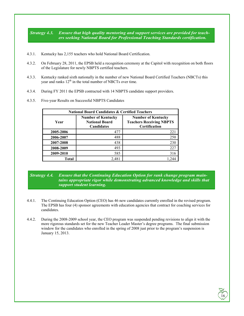*Strategy 4.3. Ensure that high quality mentoring and support services are provided for teachers seeking National Board for Professional Teaching Standards certification.*

- 4.3.1. Kentucky has 2,155 teachers who hold National Board Certification.
- 4.3.2. On February 28, 2011, the EPSB held a recognition ceremony at the Capitol with recognition on both floors of the Legislature for newly NBPTS certified teachers.
- 4.3.3. Kentucky ranked sixth nationally in the number of new National Board Certified Teachers (NBCTs) this year and ranks  $12<sup>th</sup>$  in the total number of NBCTs over time.
- 4.3.4. During FY 2011 the EPSB contracted with 14 NBPTS candidate support providers.
- 4.3.5. Five-year Results on Successful NBPTS Candidates

| <b>National Board Candidates &amp; Certified Teachers</b> |                                                                         |                                                                                      |  |  |
|-----------------------------------------------------------|-------------------------------------------------------------------------|--------------------------------------------------------------------------------------|--|--|
| Year                                                      | <b>Number of Kentucky</b><br><b>National Board</b><br><b>Candidates</b> | <b>Number of Kentucky</b><br><b>Teachers Receiving NBPTS</b><br><b>Certification</b> |  |  |
| 2005-2006                                                 | 477                                                                     | 221                                                                                  |  |  |
| 2006-2007                                                 | 488                                                                     | 250                                                                                  |  |  |
| 2007-2008                                                 | 438                                                                     | 230                                                                                  |  |  |
| 2008-2009                                                 | 493                                                                     | 227                                                                                  |  |  |
| 2009-2010                                                 | 585                                                                     | 316                                                                                  |  |  |
| Total                                                     | 2,481                                                                   |                                                                                      |  |  |

## *Strategy 4.4. Ensure that the Continuing Education Option for rank change program main*tains appropriate rigor while demonstrating advanced knowledge and skills that *support student learning.*

- 4.4.1. The Continuing Education Option (CEO) has 46 new candidates currently enrolled in the revised program. The EPSB has four (4) sponsor agreements with education agencies that contract for coaching services for candidates.
- 4.4.2. During the 2008-2009 school year, the CEO program was suspended pending revisions to align it with the more rigorous standards set for the new Teacher Leader Master's degree programs. The final submission window for the candidates who enrolled in the spring of 2008 just prior to the program's suspension is January 15, 2013.

 $\sqrt{16}$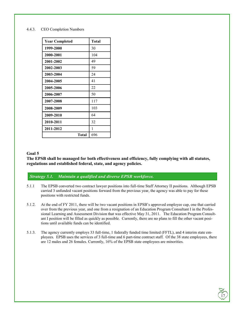#### 4.4.3. CEO Completion Numbers

| <b>Year Completed</b> | <b>Total</b> |
|-----------------------|--------------|
| 1999-2000             | 30           |
| 2000-2001             | 104          |
| 2001-2002             | 49           |
| 2002-2003             | 59           |
| 2003-2004             | 24           |
| 2004-2005             | 41           |
| 2005-2006             | 22           |
| 2006-2007             | 50           |
| 2007-2008             | 117          |
| 2008-2009             | 103          |
| 2009-2010             | 64           |
| 2010-2011             | 32           |
| 2011-2012             | 1            |
| Total                 | 696          |

#### **Goal 5**

**The EPSB shall be managed for both effectiveness and efficiency, fully complying with all statutes, regulations and established federal, state, and agency policies.** 

# *Strategy 5.1. Maintain a qualified and diverse EPSB workforce.*

- 5.1.1 The EPSB converted two contract lawyer positions into full-time Staff Attorney II positions. Although EPSB carried 3 unfunded vacant positions forward from the previous year, the agency was able to pay for these positions with restricted funds.
- 5.1.2. At the end of FY 2011, there will be two vacant positions in EPSB's approved employee cap, one that carried over from the previous year, and one from a resignation of an Education Program Consultant I in the Professional Learning and Assessment Division that was effective May 31, 2011. The Education Program Consultant I position will be filled as quickly as possible. Currently, there are no plans to fill the other vacant positions until available funds can be identified.
- 5.1.3. The agency currently employs 33 full-time, 1 federally funded time limited (FFTL), and 4 interim state employees. EPSB uses the services of 3 full-time and 6 part-time contract staff. Of the 38 state employees, there are 12 males and 26 females. Currently, 16% of the EPSB state employees are minorities.

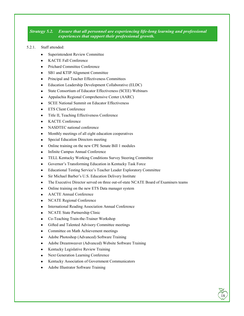## *Strategy 5.2. Ensure that all personnel are experiencing life-long learning and professional experiences that support their professional growth.*

#### 5.2.1. Staff attended:

- Superintendent Review Committee
- KACTE Fall Conference
- Prichard Committee Conference
- SB1 and KTIP Alignment Committee
- Principal and Teacher Effectiveness Committees
- Education Leadership Development Collaborative (ELDC)
- State Consortium of Educator Effectiveness (SCEE) Webinars
- Appalachia Regional Comprehensive Center (AARC)
- SCEE National Summit on Educator Effectiveness
- ETS Client Conference
- Title II, Teaching Effectiveness Conference
- KACTE Conference
- NASDTEC national conference
- Monthly meetings of all eight education cooperatives
- Special Education Directors meeting
- Online training on the new CPE Senate Bill 1 modules
- Infinite Campus Annual Conference
- TELL Kentucky Working Conditions Survey Steering Committee
- Governor's Transforming Education in Kentucky Task Force
- Educational Testing Service's Teacher Leader Exploratory Committee
- Sir Michael Barber's U.S. Education Delivery Institute
- The Executive Director served on three out-of-state NCATE Board of Examiners teams

 $\sqrt{18}$ 

- Online training on the new ETS Data manager system
- AACTE Annual Conference
- NCATE Regional Conference
- International Reading Association Annual Conference
- NCATE State Partnership Clinic
- Co-Teaching Train-the-Trainer Workshop
- Gifted and Talented Advisory Committee meetings
- Committee on Math Achievement meetings
- Adobe Photoshop (Advanced) Software Training
- Adobe Dreamweaver (Advanced) Website Software Training
- Kentucky Legislative Review Training
- Next Generation Learning Conference
- Kentucky Association of Government Communicators
- Adobe Illustrator Software Training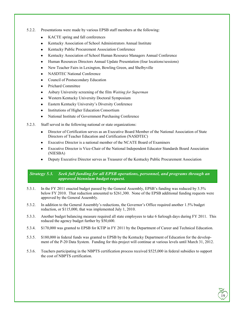- 5.2.2. Presentations were made by various EPSB staff members at the following:
	- KACTE spring and fall conferences
	- Kentucky Association of School Administrators Annual Institute
	- Kentucky Public Procurement Association Conference
	- Kentucky Association of School Human Resource Managers Annual Conference
	- Human Resources Directors Annual Update Presentation (four locations/sessions)
	- New Teacher Fairs in Lexington, Bowling Green, and Shelbyville
	- NASDTEC National Conference
	- Council of Postsecondary Education
	- Prichard Committee
	- Asbury University screening of the film *Waiting for Superman*
	- Western Kentucky University Doctoral Symposium
	- Eastern Kentucky University's Diversity Conference
	- Institutions of Higher Education Consortium
	- National Institute of Government Purchasing Conference
- 5.2.3. Staff served in the following national or state organizations:
	- Director of Certification serves as an Executive Board Member of the National Association of State Directors of Teacher Education and Certification (NASDTEC)
	- Executive Director is a national member of the NCATE Board of Examiners
	- Executive Director is Vice-Chair of the National Independent Educator Standards Board Association (NIESBA)
	- Deputy Executive Director serves as Treasurer of the Kentucky Public Procurement Association

## *Strategy 5.3. Seek full funding for all EPSB operations, personnel, and programs through an approved biennium budget request.*

- 5.3.1. In the FY 2011 enacted budget passed by the General Assembly, EPSB's funding was reduced by 3.5% below FY 2010. That reduction amounted to \$261,300. None of the EPSB additional funding requests were approved by the General Assembly.
- 5.3.2. In addition to the General Assembly's reductions, the Governor's Office required another 1.5% budget reduction, or \$115,000, that was implemented July 1, 2010.
- 5.3.3. Another budget balancing measure required all state employees to take 6 furlough days during FY 2011. This reduced the agency budget further by \$50,600.
- 5.3.4. \$170,000 was granted to EPSB for KTIP in FY 2011 by the Department of Career and Technical Education.
- 5.3.5. \$180,000 in federal funds was granted to EPSB by the Kentucky Department of Education for the development of the P-20 Data System. Funding for this project will continue at various levels until March 31, 2012.
- 5.3.6. Teachers participating in the NBPTS certification process received \$525,000 in federal subsidies to support the cost of NBPTS certification.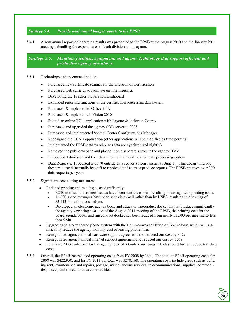# *Strategy 5.4. Provide semiannual budget reports to the EPSB*

5.4.1. A semiannual report on operating results was presented to the EPSB at the August 2010 and the January 2011 meetings, detailing the expenditures of each division and program.

*Strategy 5.5. Maintain facilities, equipment, and agency technology that support efficient and productive agency operations.*

#### 5.5.1. Technology enhancements include:

- Purchased new certificate scanner for the Division of Certification
- Purchased web cameras to facilitate on-line meetings
- Developing the Teacher Preparation Dashboard
- Expanded reporting functions of the certification processing data system
- Purchased & implemented Office 2007
- Purchased & implemented Vision 2010
- Piloted an online TC-4 application with Fayette & Jefferson County
- Purchased and upgraded the agency SQL server to 2008
- Purchased and implemented System Center Configurations Manager
- Redesigned the LEAD application (other applications will be modified as time permits)
- Implemented the EPSB data warehouse (data are synchronized nightly)
- Removed the public website and placed it on a separate server in the agency DMZ
- Embedded Admission and Exit data into the main certification data processing system
- Data Requests: Processed over 70 outside data requests from January to June 1. This doesn't include those requested internally by staff to resolve data issues or produce reports. The EPSB receives over 300 data requests per year.

#### 5.5.2. Significant cost cutting measures:

- Reduced printing and mailing costs significantly:
	- 7,220 notifications of certificates have been sent via e-mail, resulting in savings with printing costs.
	- 11,620 speed messages have been sent via e-mail rather than by USPS, resulting in a savings of \$5,113 in mailing costs alone.
	- Developed an electronic agenda book and educator misconduct docket that will reduce significantly the agency's printing cost. As of the August 2011 meeting of the EPSB, the printing cost for the board agenda books and misconduct docket has been reduced from nearly \$1,000 per meeting to less than \$240.
- Upgrading to a new shared phone system with the Commonwealth Office of Technology, which will significantly reduce the agency monthly cost of leasing phone lines
- Renegotiated agency annual hardware support agreement and reduced our cost by 85%
- Renegotiated agency annual FileNet support agreement and reduced our cost by 50%
- Purchased Microsoft Live for the agency to conduct online meetings, which should further reduce traveling costs
- 5.5.3. Overall, the EPSB has reduced operating costs from FY 2008 by 34%. The total of EPSB operating costs for 2008 was \$422,950, and for FY 2011 our total was \$278,168. The operating costs include areas such as building rent, maintenance and repairs, postage, miscellaneous services, telecommunications, supplies, commodities, travel, and miscellaneous commodities.